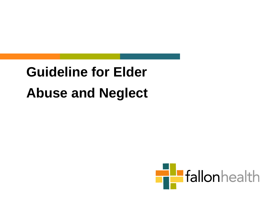# **Guideline for Elder Abuse and Neglect**

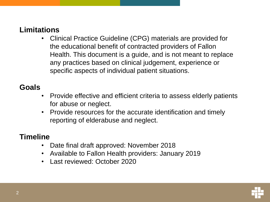#### **Limitations**

• Clinical Practice Guideline (CPG) materials are provided for the educational benefit of contracted providers of Fallon Health. This document is a guide, and is not meant to replace any practices based on clinical judgement, experience or specific aspects of individual patient situations.

#### **Goals**

- Provide effective and efficient criteria to assess elderly patients for abuse or neglect.
- Provide resources for the accurate identification and timely reporting of elderabuse and neglect.

#### **Timeline**

- Date final draft approved: November 2018
- Available to Fallon Health providers: January 2019
- Last reviewed: October 2020

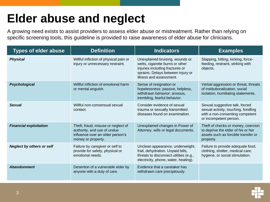## **Elder abuse and neglect**

A growing need exists to assist providers to assess elder abuse or mistreatment. Rather than relying on specific screening tools, this guideline is provided to raise awareness of elder abuse for clinicians.

| <b>Types of elder abuse</b>      | <b>Definition</b>                                                                                                           | <b>Indicators</b>                                                                                                                                                     | <b>Examples</b>                                                                                                                    |
|----------------------------------|-----------------------------------------------------------------------------------------------------------------------------|-----------------------------------------------------------------------------------------------------------------------------------------------------------------------|------------------------------------------------------------------------------------------------------------------------------------|
| <b>Physical</b>                  | Willful infliction of physical pain or<br>injury or unnecessary restraint.                                                  | Unexplained bruising, wounds or<br>welts, cigarette burns or other<br>injuries including fractures or<br>sprains. Delays between injury or<br>illness and assessment. | Slapping, hitting, kicking, force-<br>feeding, restraint, striking with<br>objects.                                                |
| <b>Psychological</b>             | Willful infliction of emotional harm<br>or mental anguish.                                                                  | Sense of resignation or<br>hopelessness: passive, helpless,<br>withdrawn behavior: anxious,<br>trembling, fearful behavior.                                           | Verbal aggression or threat, threats<br>of institutionalization, social<br>isolation, humiliating statements.                      |
| <b>Sexual</b>                    | Willful non-consensual sexual<br>contact.                                                                                   | Consider evidence of sexual<br>trauma or sexually transmitted<br>diseases found on examination.                                                                       | Sexual suggestive talk, forced<br>sexual activity, touching, fondling<br>with a non-consenting competent<br>or incompetent person. |
| <b>Financial exploitation</b>    | Theft, fraud, misuse or neglect of<br>authority, and use of undue<br>influence over an older person's<br>money or property. | Unexplained changes in Power of<br>Attorney, wills or legal documents.                                                                                                | Theft of checks or money, coercion<br>to deprive the elder of his or her<br>assets such as forcible transfer or<br>property.       |
| <b>Neglect by others or self</b> | Failure by caregiver or self to<br>provide for safety, physical or<br>emotional needs.                                      | Unclean appearance, underweight,<br>frail, dehydration. Unpaid bills,<br>threats to disconnect utilities (e.g.,<br>electricity, phone, water, heating).               | Failure to provide adequate food,<br>clothing, shelter, medical care,<br>hygiene, or social stimulation.                           |
| <b>Abandonment</b>               | Desertion of a vulnerable elder by<br>anyone with a duty of care.                                                           | Evidence that a caretaker has<br>withdrawn care precipitously.                                                                                                        |                                                                                                                                    |

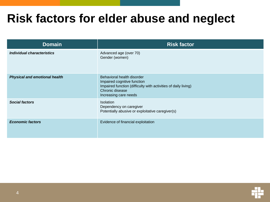### **Risk factors for elder abuse and neglect**

| <b>Domain</b>                        | <b>Risk factor</b>                                                                                                                                                      |
|--------------------------------------|-------------------------------------------------------------------------------------------------------------------------------------------------------------------------|
| Individual characteristics           | Advanced age (over 70)<br>Gender (women)                                                                                                                                |
| <b>Physical and emotional health</b> | Behavioral health disorder<br>Impaired cognitive function<br>Impaired function (difficulty with activities of daily living)<br>Chronic disease<br>Increasing care needs |
| <b>Social factors</b>                | Isolation<br>Dependency on caregiver<br>Potentially abusive or exploitative caregiver(s)                                                                                |
| <b>Economic factors</b>              | Evidence of financial exploitation                                                                                                                                      |

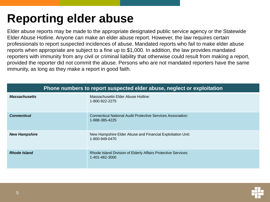# **Reporting elder abuse**

Elder abuse reports may be made to the appropriate designated public service agency or the Statewide Elder Abuse Hotline. Anyone can make an elder abuse report. However, the law requires certain professionals to report suspected incidences of abuse. Mandated reports who fail to make elder abuse reports when appropriate are subject to a fine up to \$1,000. In addition, the law provides mandated reporters with immunity from any civil or criminal liability that otherwise could result from making a report, provided the reporter did not commit the abuse. Persons who are not mandated reporters have the same immunity, as long as they make a report in good faith.

| Phone numbers to report suspected elder abuse, neglect or exploitation |                                                                                 |  |
|------------------------------------------------------------------------|---------------------------------------------------------------------------------|--|
| <b>Massachusetts</b>                                                   | Massachusetts Elder Abuse Hotline:<br>1-800-922-2275                            |  |
| <b>Connecticut</b>                                                     | Connecticut National Audit Protective Services Association:<br>1-888-385-4225   |  |
| <b>New Hampshire</b>                                                   | New Hampshire Elder Abuse and Financial Exploitation Unit:<br>1-800-949-0470    |  |
| <b>Rhode Island</b>                                                    | Rhode Island Division of Elderly Affairs Protective Services:<br>1-401-462-3000 |  |

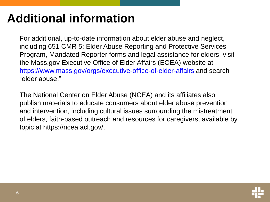## **Additional information**

For additional, up-to-date information about elder abuse and neglect, including 651 CMR 5: Elder Abuse Reporting and Protective Services Program, Mandated Reporter forms and legal assistance for elders, visit the Mass.gov Executive Office of Elder Affairs (EOEA) website at <https://www.mass.gov/orgs/executive-office-of-elder-affairs> and search "elder abuse."

The National Center on Elder Abuse (NCEA) and its affiliates also publish materials to educate consumers about elder abuse prevention and intervention, including cultural issues surrounding the mistreatment of elders, faith-based outreach and resources for caregivers, available by topic at https://ncea.acl.gov/.